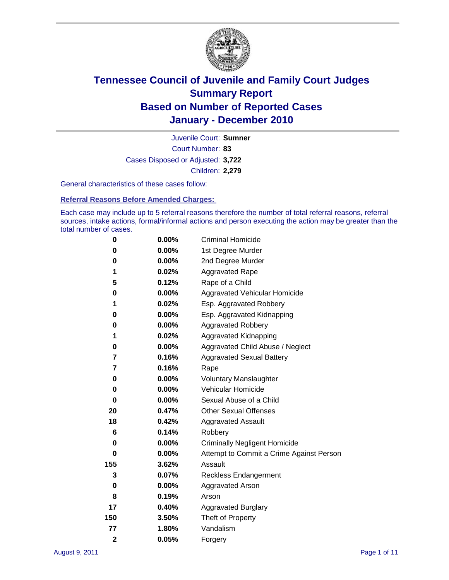

Court Number: **83** Juvenile Court: **Sumner** Cases Disposed or Adjusted: **3,722** Children: **2,279**

General characteristics of these cases follow:

**Referral Reasons Before Amended Charges:** 

Each case may include up to 5 referral reasons therefore the number of total referral reasons, referral sources, intake actions, formal/informal actions and person executing the action may be greater than the total number of cases.

| 0              | $0.00\%$ | <b>Criminal Homicide</b>                 |
|----------------|----------|------------------------------------------|
| 0              | 0.00%    | 1st Degree Murder                        |
| 0              | 0.00%    | 2nd Degree Murder                        |
| 1              | 0.02%    | <b>Aggravated Rape</b>                   |
| 5              | 0.12%    | Rape of a Child                          |
| 0              | $0.00\%$ | Aggravated Vehicular Homicide            |
| 1              | 0.02%    | Esp. Aggravated Robbery                  |
| 0              | $0.00\%$ | Esp. Aggravated Kidnapping               |
| 0              | 0.00%    | <b>Aggravated Robbery</b>                |
| 1              | 0.02%    | Aggravated Kidnapping                    |
| 0              | 0.00%    | Aggravated Child Abuse / Neglect         |
| 7              | 0.16%    | <b>Aggravated Sexual Battery</b>         |
| 7              | 0.16%    | Rape                                     |
| 0              | 0.00%    | <b>Voluntary Manslaughter</b>            |
| 0              | 0.00%    | Vehicular Homicide                       |
| 0              | 0.00%    | Sexual Abuse of a Child                  |
| 20             | 0.47%    | <b>Other Sexual Offenses</b>             |
| 18             | 0.42%    | <b>Aggravated Assault</b>                |
| 6              | 0.14%    | Robbery                                  |
| 0              | $0.00\%$ | <b>Criminally Negligent Homicide</b>     |
| 0              | $0.00\%$ | Attempt to Commit a Crime Against Person |
| 155            | 3.62%    | Assault                                  |
| 3              | 0.07%    | <b>Reckless Endangerment</b>             |
| 0              | 0.00%    | <b>Aggravated Arson</b>                  |
| 8              | 0.19%    | Arson                                    |
| 17             | 0.40%    | <b>Aggravated Burglary</b>               |
| 150            | 3.50%    | Theft of Property                        |
| 77             | 1.80%    | Vandalism                                |
| $\overline{2}$ | 0.05%    | Forgery                                  |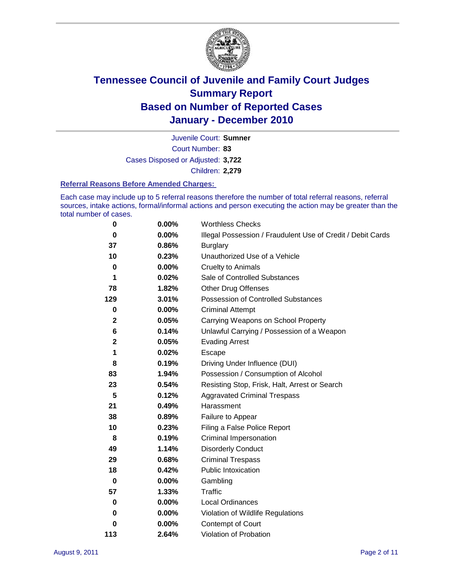

Court Number: **83** Juvenile Court: **Sumner** Cases Disposed or Adjusted: **3,722** Children: **2,279**

#### **Referral Reasons Before Amended Charges:**

Each case may include up to 5 referral reasons therefore the number of total referral reasons, referral sources, intake actions, formal/informal actions and person executing the action may be greater than the total number of cases.

| $\pmb{0}$   | 0.00%    | <b>Worthless Checks</b>                                     |
|-------------|----------|-------------------------------------------------------------|
| $\bf{0}$    | $0.00\%$ | Illegal Possession / Fraudulent Use of Credit / Debit Cards |
| 37          | 0.86%    | <b>Burglary</b>                                             |
| 10          | 0.23%    | Unauthorized Use of a Vehicle                               |
| $\pmb{0}$   | $0.00\%$ | <b>Cruelty to Animals</b>                                   |
| 1           | 0.02%    | Sale of Controlled Substances                               |
| 78          | 1.82%    | <b>Other Drug Offenses</b>                                  |
| 129         | 3.01%    | Possession of Controlled Substances                         |
| $\pmb{0}$   | $0.00\%$ | <b>Criminal Attempt</b>                                     |
| $\mathbf 2$ | 0.05%    | Carrying Weapons on School Property                         |
| 6           | 0.14%    | Unlawful Carrying / Possession of a Weapon                  |
| $\mathbf 2$ | 0.05%    | <b>Evading Arrest</b>                                       |
| 1           | 0.02%    | Escape                                                      |
| 8           | 0.19%    | Driving Under Influence (DUI)                               |
| 83          | 1.94%    | Possession / Consumption of Alcohol                         |
| 23          | 0.54%    | Resisting Stop, Frisk, Halt, Arrest or Search               |
| 5           | 0.12%    | <b>Aggravated Criminal Trespass</b>                         |
| 21          | 0.49%    | Harassment                                                  |
| 38          | 0.89%    | Failure to Appear                                           |
| 10          | 0.23%    | Filing a False Police Report                                |
| 8           | 0.19%    | Criminal Impersonation                                      |
| 49          | 1.14%    | <b>Disorderly Conduct</b>                                   |
| 29          | 0.68%    | <b>Criminal Trespass</b>                                    |
| 18          | 0.42%    | <b>Public Intoxication</b>                                  |
| 0           | $0.00\%$ | Gambling                                                    |
| 57          | 1.33%    | <b>Traffic</b>                                              |
| 0           | $0.00\%$ | <b>Local Ordinances</b>                                     |
| 0           | $0.00\%$ | Violation of Wildlife Regulations                           |
| 0           | $0.00\%$ | Contempt of Court                                           |
| 113         | 2.64%    | Violation of Probation                                      |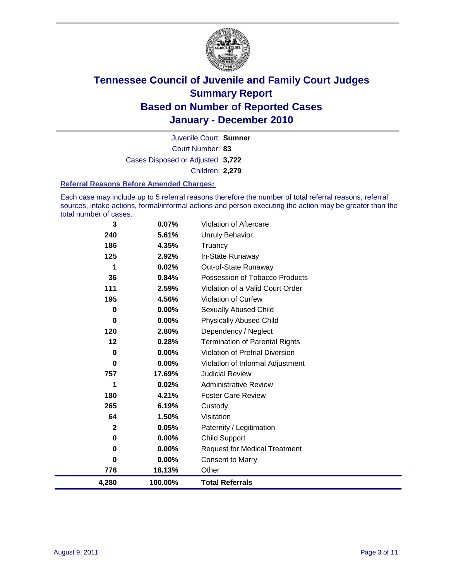

Court Number: **83** Juvenile Court: **Sumner** Cases Disposed or Adjusted: **3,722** Children: **2,279**

#### **Referral Reasons Before Amended Charges:**

Each case may include up to 5 referral reasons therefore the number of total referral reasons, referral sources, intake actions, formal/informal actions and person executing the action may be greater than the total number of cases.

| 3            | 0.07%    | <b>Violation of Aftercare</b>          |
|--------------|----------|----------------------------------------|
| 240          | 5.61%    | <b>Unruly Behavior</b>                 |
| 186          | 4.35%    | Truancy                                |
| 125          | 2.92%    | In-State Runaway                       |
| 1            | 0.02%    | Out-of-State Runaway                   |
| 36           | 0.84%    | Possession of Tobacco Products         |
| 111          | 2.59%    | Violation of a Valid Court Order       |
| 195          | 4.56%    | <b>Violation of Curfew</b>             |
| $\mathbf 0$  | 0.00%    | Sexually Abused Child                  |
| 0            | 0.00%    | <b>Physically Abused Child</b>         |
| 120          | 2.80%    | Dependency / Neglect                   |
| 12           | 0.28%    | <b>Termination of Parental Rights</b>  |
| $\mathbf 0$  | 0.00%    | <b>Violation of Pretrial Diversion</b> |
| 0            | $0.00\%$ | Violation of Informal Adjustment       |
| 757          | 17.69%   | <b>Judicial Review</b>                 |
| 1            | 0.02%    | <b>Administrative Review</b>           |
| 180          | 4.21%    | <b>Foster Care Review</b>              |
| 265          | 6.19%    | Custody                                |
| 64           | 1.50%    | Visitation                             |
| $\mathbf{2}$ | 0.05%    | Paternity / Legitimation               |
| 0            | 0.00%    | <b>Child Support</b>                   |
| 0            | 0.00%    | <b>Request for Medical Treatment</b>   |
| 0            | 0.00%    | <b>Consent to Marry</b>                |
| 776          | 18.13%   | Other                                  |
| 4,280        | 100.00%  | <b>Total Referrals</b>                 |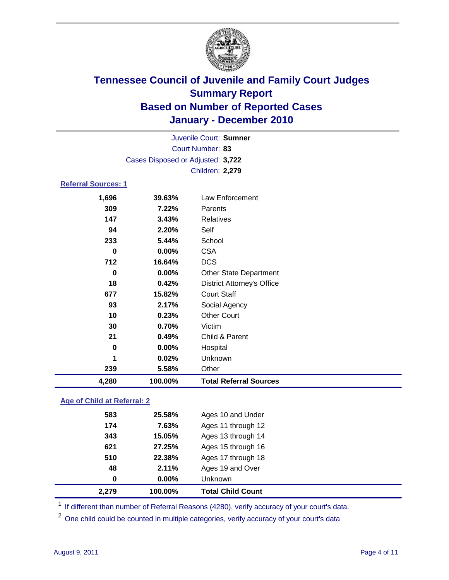

| Juvenile Court: Sumner            |                            |                                   |  |  |  |
|-----------------------------------|----------------------------|-----------------------------------|--|--|--|
|                                   | Court Number: 83           |                                   |  |  |  |
| Cases Disposed or Adjusted: 3,722 |                            |                                   |  |  |  |
|                                   | Children: 2,279            |                                   |  |  |  |
|                                   | <b>Referral Sources: 1</b> |                                   |  |  |  |
| 1,696                             | 39.63%                     | Law Enforcement                   |  |  |  |
| 309                               | 7.22%                      | Parents                           |  |  |  |
| 147                               | 3.43%                      | <b>Relatives</b>                  |  |  |  |
| 94                                | 2.20%                      | Self                              |  |  |  |
| 233                               | 5.44%                      | School                            |  |  |  |
| $\bf{0}$                          | 0.00%                      | <b>CSA</b>                        |  |  |  |
| 712                               | 16.64%                     | <b>DCS</b>                        |  |  |  |
| 0                                 | $0.00\%$                   | <b>Other State Department</b>     |  |  |  |
| 18                                | 0.42%                      | <b>District Attorney's Office</b> |  |  |  |
| 677                               | 15.82%                     | <b>Court Staff</b>                |  |  |  |
| 93                                | 2.17%                      | Social Agency                     |  |  |  |
| 10                                | 0.23%                      | <b>Other Court</b>                |  |  |  |
| 30                                | 0.70%                      | Victim                            |  |  |  |
| 21                                | 0.49%                      | Child & Parent                    |  |  |  |
| $\bf{0}$                          | 0.00%                      | Hospital                          |  |  |  |
| 1                                 | 0.02%                      | Unknown                           |  |  |  |
| 239                               | 5.58%                      | Other                             |  |  |  |
| 4,280                             | 100.00%                    | <b>Total Referral Sources</b>     |  |  |  |

### **Age of Child at Referral: 2**

| 2,279<br>100.00%  | <b>Total Child Count</b> |
|-------------------|--------------------------|
| 0.00%<br>$\bf{0}$ | <b>Unknown</b>           |
| 2.11%<br>48       | Ages 19 and Over         |
| 510<br>22.38%     | Ages 17 through 18       |
| 621<br>27.25%     | Ages 15 through 16       |
| 343<br>15.05%     | Ages 13 through 14       |
| 174<br>7.63%      | Ages 11 through 12       |
| 583<br>25.58%     | Ages 10 and Under        |
|                   |                          |

<sup>1</sup> If different than number of Referral Reasons (4280), verify accuracy of your court's data.

<sup>2</sup> One child could be counted in multiple categories, verify accuracy of your court's data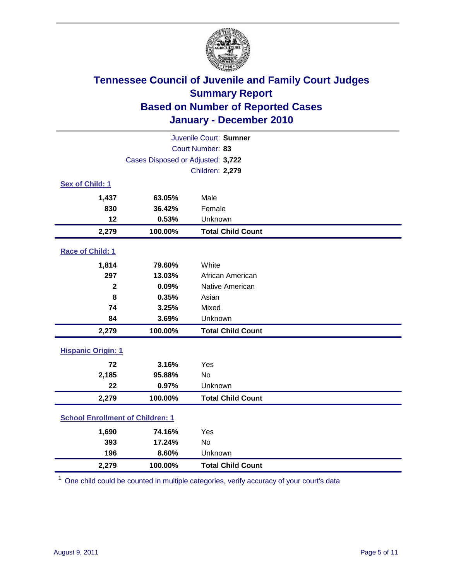

| Juvenile Court: Sumner                  |                                   |                          |  |
|-----------------------------------------|-----------------------------------|--------------------------|--|
| Court Number: 83                        |                                   |                          |  |
|                                         | Cases Disposed or Adjusted: 3,722 |                          |  |
|                                         |                                   | Children: 2,279          |  |
| Sex of Child: 1                         |                                   |                          |  |
| 1,437                                   | 63.05%                            | Male                     |  |
| 830                                     | 36.42%                            | Female                   |  |
| 12                                      | 0.53%                             | Unknown                  |  |
| 2,279                                   | 100.00%                           | <b>Total Child Count</b> |  |
| Race of Child: 1                        |                                   |                          |  |
| 1,814                                   | 79.60%                            | White                    |  |
| 297                                     | 13.03%                            | African American         |  |
| $\overline{\mathbf{2}}$                 | 0.09%                             | Native American          |  |
| 8                                       | 0.35%                             | Asian                    |  |
| 74                                      | 3.25%                             | Mixed                    |  |
| 84                                      | 3.69%                             | Unknown                  |  |
| 2,279                                   | 100.00%                           | <b>Total Child Count</b> |  |
| <b>Hispanic Origin: 1</b>               |                                   |                          |  |
| 72                                      | 3.16%                             | Yes                      |  |
| 2,185                                   | 95.88%                            | <b>No</b>                |  |
| 22                                      | 0.97%                             | Unknown                  |  |
| 2,279                                   | 100.00%                           | <b>Total Child Count</b> |  |
| <b>School Enrollment of Children: 1</b> |                                   |                          |  |
| 1,690                                   | 74.16%                            | Yes                      |  |
| 393                                     | 17.24%                            | <b>No</b>                |  |
| 196                                     | 8.60%                             | Unknown                  |  |
| 2,279                                   | 100.00%                           | <b>Total Child Count</b> |  |

<sup>1</sup> One child could be counted in multiple categories, verify accuracy of your court's data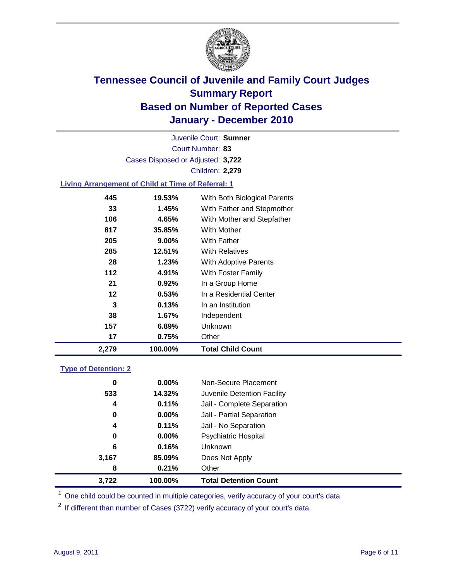

Court Number: **83** Juvenile Court: **Sumner** Cases Disposed or Adjusted: **3,722** Children: **2,279**

### **Living Arrangement of Child at Time of Referral: 1**

| 2,279 | 100.00%  | <b>Total Child Count</b>     |
|-------|----------|------------------------------|
| 17    | 0.75%    | Other                        |
| 157   | 6.89%    | Unknown                      |
| 38    | 1.67%    | Independent                  |
| 3     | 0.13%    | In an Institution            |
| 12    | 0.53%    | In a Residential Center      |
| 21    | 0.92%    | In a Group Home              |
| 112   | 4.91%    | With Foster Family           |
| 28    | 1.23%    | With Adoptive Parents        |
| 285   | 12.51%   | <b>With Relatives</b>        |
| 205   | $9.00\%$ | With Father                  |
| 817   | 35.85%   | With Mother                  |
| 106   | 4.65%    | With Mother and Stepfather   |
| 33    | 1.45%    | With Father and Stepmother   |
| 445   | 19.53%   | With Both Biological Parents |
|       |          |                              |

#### **Type of Detention: 2**

| 3,722 | 100.00%  | <b>Total Detention Count</b> |  |
|-------|----------|------------------------------|--|
| 8     | 0.21%    | Other                        |  |
| 3,167 | 85.09%   | Does Not Apply               |  |
| 6     | 0.16%    | Unknown                      |  |
| 0     | 0.00%    | <b>Psychiatric Hospital</b>  |  |
| 4     | 0.11%    | Jail - No Separation         |  |
| 0     | $0.00\%$ | Jail - Partial Separation    |  |
| 4     | 0.11%    | Jail - Complete Separation   |  |
| 533   | 14.32%   | Juvenile Detention Facility  |  |
| 0     | $0.00\%$ | Non-Secure Placement         |  |
|       |          |                              |  |

<sup>1</sup> One child could be counted in multiple categories, verify accuracy of your court's data

<sup>2</sup> If different than number of Cases (3722) verify accuracy of your court's data.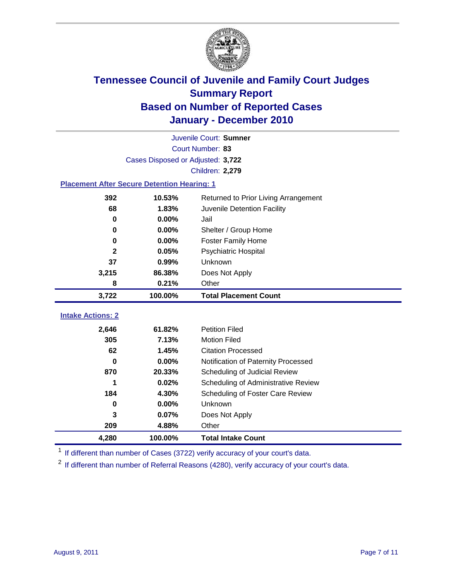

|                                                    | Juvenile Court: Sumner            |                                      |  |  |  |
|----------------------------------------------------|-----------------------------------|--------------------------------------|--|--|--|
|                                                    | Court Number: 83                  |                                      |  |  |  |
|                                                    | Cases Disposed or Adjusted: 3,722 |                                      |  |  |  |
|                                                    |                                   | Children: 2,279                      |  |  |  |
| <b>Placement After Secure Detention Hearing: 1</b> |                                   |                                      |  |  |  |
| 392                                                | 10.53%                            | Returned to Prior Living Arrangement |  |  |  |
| 68                                                 | 1.83%                             | Juvenile Detention Facility          |  |  |  |
| 0                                                  | 0.00%                             | Jail                                 |  |  |  |
| 0                                                  | 0.00%                             | Shelter / Group Home                 |  |  |  |
| $\bf{0}$                                           | 0.00%                             | <b>Foster Family Home</b>            |  |  |  |
| $\mathbf 2$                                        | 0.05%                             | Psychiatric Hospital                 |  |  |  |
| 37                                                 | 0.99%                             | Unknown                              |  |  |  |
| 3,215                                              | 86.38%                            | Does Not Apply                       |  |  |  |
| 8                                                  | 0.21%                             | Other                                |  |  |  |
| 3,722                                              | 100.00%                           | <b>Total Placement Count</b>         |  |  |  |
| <b>Intake Actions: 2</b>                           |                                   |                                      |  |  |  |
| 2,646                                              | 61.82%                            | <b>Petition Filed</b>                |  |  |  |
| 305                                                | 7.13%                             | <b>Motion Filed</b>                  |  |  |  |
| 62                                                 | 1.45%                             | <b>Citation Processed</b>            |  |  |  |
| 0                                                  | 0.00%                             | Notification of Paternity Processed  |  |  |  |
| 870                                                | 20.33%                            | Scheduling of Judicial Review        |  |  |  |
| 1                                                  | 0.02%                             | Scheduling of Administrative Review  |  |  |  |
| 184                                                | 4.30%                             | Scheduling of Foster Care Review     |  |  |  |
| 0                                                  | 0.00%                             | Unknown                              |  |  |  |
| 3                                                  | 0.07%                             | Does Not Apply                       |  |  |  |
| 209                                                | 4.88%                             | Other                                |  |  |  |
|                                                    |                                   |                                      |  |  |  |

<sup>1</sup> If different than number of Cases (3722) verify accuracy of your court's data.

<sup>2</sup> If different than number of Referral Reasons (4280), verify accuracy of your court's data.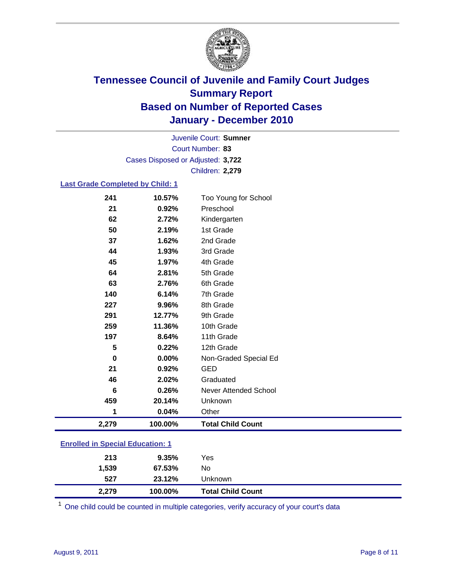

Court Number: **83** Juvenile Court: **Sumner** Cases Disposed or Adjusted: **3,722** Children: **2,279**

### **Last Grade Completed by Child: 1**

| 241                                     | 10.57%  | Too Young for School         |  |  |
|-----------------------------------------|---------|------------------------------|--|--|
| 21                                      | 0.92%   | Preschool                    |  |  |
| 62                                      | 2.72%   | Kindergarten                 |  |  |
| 50                                      | 2.19%   | 1st Grade                    |  |  |
| 37                                      | 1.62%   | 2nd Grade                    |  |  |
| 44                                      | 1.93%   | 3rd Grade                    |  |  |
| 45                                      | 1.97%   | 4th Grade                    |  |  |
| 64                                      | 2.81%   | 5th Grade                    |  |  |
| 63                                      | 2.76%   | 6th Grade                    |  |  |
| 140                                     | 6.14%   | 7th Grade                    |  |  |
| 227                                     | 9.96%   | 8th Grade                    |  |  |
| 291                                     | 12.77%  | 9th Grade                    |  |  |
| 259                                     | 11.36%  | 10th Grade                   |  |  |
| 197                                     | 8.64%   | 11th Grade                   |  |  |
| 5                                       | 0.22%   | 12th Grade                   |  |  |
| 0                                       | 0.00%   | Non-Graded Special Ed        |  |  |
| 21                                      | 0.92%   | <b>GED</b>                   |  |  |
| 46                                      | 2.02%   | Graduated                    |  |  |
| 6                                       | 0.26%   | <b>Never Attended School</b> |  |  |
| 459                                     | 20.14%  | Unknown                      |  |  |
| 1                                       | 0.04%   | Other                        |  |  |
| 2,279                                   | 100.00% | <b>Total Child Count</b>     |  |  |
| <b>Enrolled in Special Education: 1</b> |         |                              |  |  |
|                                         |         |                              |  |  |

| 213          | 9.35%            | Yes                      |
|--------------|------------------|--------------------------|
| 1,539<br>527 | 67.53%<br>23.12% | No<br>Unknown            |
| 2,279        | 100.00%          | <b>Total Child Count</b> |

One child could be counted in multiple categories, verify accuracy of your court's data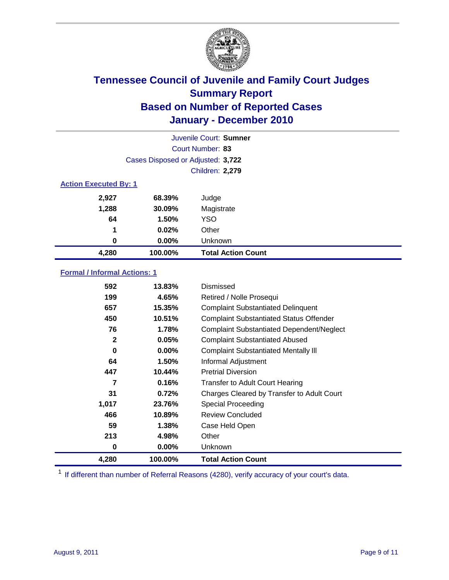

|                              | Juvenile Court: Sumner            |                           |  |  |
|------------------------------|-----------------------------------|---------------------------|--|--|
|                              | Court Number: 83                  |                           |  |  |
|                              | Cases Disposed or Adjusted: 3,722 |                           |  |  |
|                              | <b>Children: 2,279</b>            |                           |  |  |
| <b>Action Executed By: 1</b> |                                   |                           |  |  |
| 2,927                        | 68.39%                            | Judge                     |  |  |
| 1,288                        | 30.09%                            | Magistrate                |  |  |
| 64                           | 1.50%                             | <b>YSO</b>                |  |  |
| 1                            | 0.02%                             | Other                     |  |  |
| 0                            | 0.00%                             | Unknown                   |  |  |
| 4,280                        | 100.00%                           | <b>Total Action Count</b> |  |  |

### **Formal / Informal Actions: 1**

| 592          | 13.83%   | Dismissed                                        |
|--------------|----------|--------------------------------------------------|
| 199          | 4.65%    | Retired / Nolle Prosequi                         |
| 657          | 15.35%   | <b>Complaint Substantiated Delinquent</b>        |
| 450          | 10.51%   | <b>Complaint Substantiated Status Offender</b>   |
| 76           | 1.78%    | <b>Complaint Substantiated Dependent/Neglect</b> |
| $\mathbf{2}$ | 0.05%    | <b>Complaint Substantiated Abused</b>            |
| 0            | $0.00\%$ | <b>Complaint Substantiated Mentally III</b>      |
| 64           | 1.50%    | Informal Adjustment                              |
| 447          | 10.44%   | <b>Pretrial Diversion</b>                        |
| 7            | 0.16%    | <b>Transfer to Adult Court Hearing</b>           |
| 31           | 0.72%    | Charges Cleared by Transfer to Adult Court       |
| 1,017        | 23.76%   | Special Proceeding                               |
| 466          | 10.89%   | <b>Review Concluded</b>                          |
| 59           | 1.38%    | Case Held Open                                   |
| 213          | 4.98%    | Other                                            |
| 0            | 0.00%    | Unknown                                          |
| 4,280        | 100.00%  | <b>Total Action Count</b>                        |

<sup>1</sup> If different than number of Referral Reasons (4280), verify accuracy of your court's data.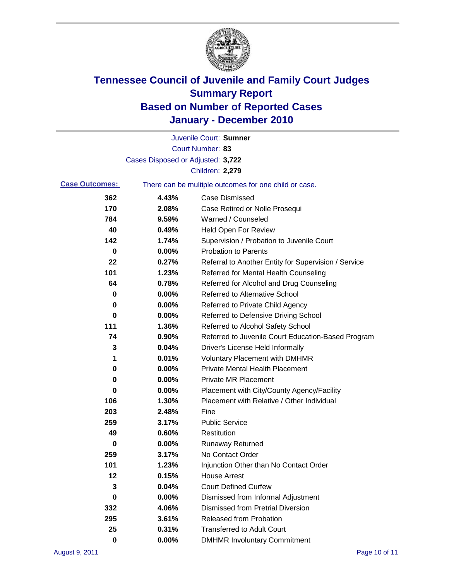

|                       |                                   | Juvenile Court: Sumner                                |
|-----------------------|-----------------------------------|-------------------------------------------------------|
|                       |                                   | Court Number: 83                                      |
|                       | Cases Disposed or Adjusted: 3,722 |                                                       |
|                       |                                   | Children: 2,279                                       |
| <b>Case Outcomes:</b> |                                   | There can be multiple outcomes for one child or case. |
| 362                   | 4.43%                             | <b>Case Dismissed</b>                                 |
| 170                   | 2.08%                             | Case Retired or Nolle Prosequi                        |
| 784                   | 9.59%                             | Warned / Counseled                                    |
| 40                    | 0.49%                             | <b>Held Open For Review</b>                           |
| 142                   | 1.74%                             | Supervision / Probation to Juvenile Court             |
| 0                     | 0.00%                             | <b>Probation to Parents</b>                           |
| 22                    | 0.27%                             | Referral to Another Entity for Supervision / Service  |
| 101                   | 1.23%                             | Referred for Mental Health Counseling                 |
| 64                    | 0.78%                             | Referred for Alcohol and Drug Counseling              |
| 0                     | 0.00%                             | <b>Referred to Alternative School</b>                 |
| 0                     | 0.00%                             | Referred to Private Child Agency                      |
| 0                     | 0.00%                             | Referred to Defensive Driving School                  |
| 111                   | 1.36%                             | Referred to Alcohol Safety School                     |
| 74                    | 0.90%                             | Referred to Juvenile Court Education-Based Program    |
| 3                     | 0.04%                             | Driver's License Held Informally                      |
| 1                     | 0.01%                             | <b>Voluntary Placement with DMHMR</b>                 |
| 0                     | 0.00%                             | <b>Private Mental Health Placement</b>                |
| 0                     | 0.00%                             | <b>Private MR Placement</b>                           |
| 0                     | 0.00%                             | Placement with City/County Agency/Facility            |
| 106                   | 1.30%                             | Placement with Relative / Other Individual            |
| 203                   | 2.48%                             | Fine                                                  |
| 259                   | 3.17%                             | <b>Public Service</b>                                 |
| 49                    | 0.60%                             | Restitution                                           |
| 0                     | 0.00%                             | <b>Runaway Returned</b>                               |
| 259                   | 3.17%                             | No Contact Order                                      |
| 101                   | 1.23%                             | Injunction Other than No Contact Order                |
| 12                    | 0.15%                             | <b>House Arrest</b>                                   |
| 3                     | 0.04%                             | <b>Court Defined Curfew</b>                           |
| 0                     | 0.00%                             | Dismissed from Informal Adjustment                    |
| 332                   | 4.06%                             | <b>Dismissed from Pretrial Diversion</b>              |
| 295                   | 3.61%                             | Released from Probation                               |
| 25                    | 0.31%                             | <b>Transferred to Adult Court</b>                     |
| 0                     | $0.00\%$                          | <b>DMHMR Involuntary Commitment</b>                   |